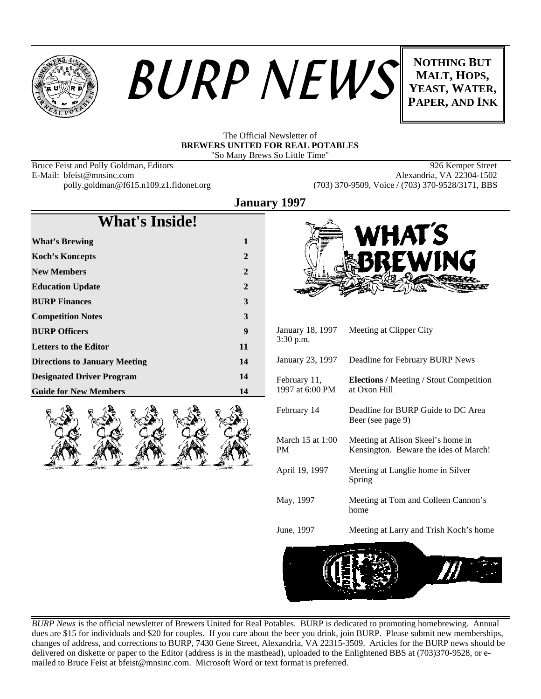



**MALT, HOPS, YEAST, WATER, PAPER, AND INK**

#### The Official Newsletter of **BREWERS UNITED FOR REAL POTABLES** "So Many Brews So Little Time"

E-Mail: bfeist@mnsinc.com<br>polly.goldman@f615.n109.z1.fidonet.org

Bruce Feist and Polly Goldman, Editors 88 and 1988 80 and 19926 Kemper Street<br>
E-Mail: bfeist@mnsinc.com 896 Alexandria, VA 22304-1502 (703) 370-9509, Voice / (703) 370-9528/3171, BBS

**What's Inside!**

| <b>What's Brewing</b>                | 1            |
|--------------------------------------|--------------|
| <b>Koch's Koncepts</b>               | $\mathbf{2}$ |
| <b>New Members</b>                   | $\mathbf{2}$ |
| <b>Education Update</b>              | $\mathbf{2}$ |
| <b>BURP Finances</b>                 | 3            |
| <b>Competition Notes</b>             | 3            |
| <b>BURP Officers</b>                 | 9            |
| <b>Letters to the Editor</b>         | 11           |
| <b>Directions to January Meeting</b> | 14           |
| <b>Designated Driver Program</b>     | 14           |
| <b>Guide for New Members</b>         | 14           |





| January 18, 1997<br>$3:30$ p.m. | Meeting at Clipper City                                                    |
|---------------------------------|----------------------------------------------------------------------------|
| January 23, 1997                | Deadline for February BURP News                                            |
| February 11,<br>1997 at 6:00 PM | <b>Elections</b> / Meeting / Stout Competition<br>at Oxon Hill             |
| February 14                     | Deadline for BURP Guide to DC Area<br>Beer (see page 9)                    |
| March 15 at 1:00<br>PM          | Meeting at Alison Skeel's home in<br>Kensington. Beware the ides of March! |
| April 19, 1997                  | Meeting at Langlie home in Silver<br>Spring                                |
| May, 1997                       | Meeting at Tom and Colleen Cannon's<br>home                                |
| June, 1997                      | Meeting at Larry and Trish Koch's home                                     |



*BURP News* is the official newsletter of Brewers United for Real Potables. BURP is dedicated to promoting homebrewing. Annual dues are \$15 for individuals and \$20 for couples. If you care about the beer you drink, join BURP. Please submit new memberships, changes of address, and corrections to BURP, 7430 Gene Street, Alexandria, VA 22315-3509. Articles for the BURP news should be delivered on diskette or paper to the Editor (address is in the masthead), uploaded to the Enlightened BBS at (703)370-9528, or emailed to Bruce Feist at bfeist@mnsinc.com. Microsoft Word or text format is preferred.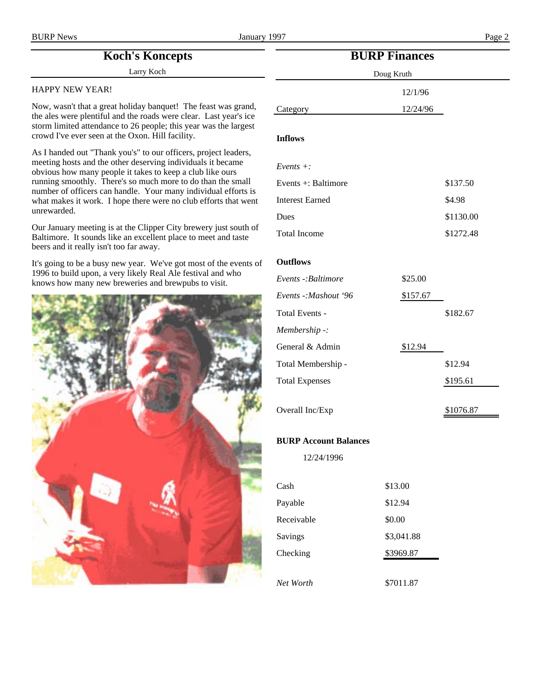# **Koch's Koncepts**

Larry Koch

#### HAPPY NEW YEAR!

Now, wasn't that a great holiday banquet! The feast was grand, the ales were plentiful and the roads were clear. Last year's ice storm limited attendance to 26 people; this year was the largest crowd I've ever seen at the Oxon. Hill facility.

As I handed out "Thank you's" to our officers, project leaders, meeting hosts and the other deserving individuals it became obvious how many people it takes to keep a club like ours running smoothly. There's so much more to do than the small number of officers can handle. Your many individual efforts is what makes it work. I hope there were no club efforts that went unrewarded.

Our January meeting is at the Clipper City brewery just south of Baltimore. It sounds like an excellent place to meet and taste beers and it really isn't too far away.

It's going to be a busy new year. We've got most of the events of 1996 to build upon, a very likely Real Ale festival and who knows how many new breweries and brewpubs to visit.



# **BURP Finances**

| Doug Kruth |          |  |
|------------|----------|--|
|            | 12/1/96  |  |
|            | 12/24/96 |  |

#### **Inflows**

Category

| Events $+$ :             |          |           |
|--------------------------|----------|-----------|
| Events $\pm$ : Baltimore |          | \$137.50  |
| <b>Interest Earned</b>   |          | \$4.98    |
| Dues                     |          | \$1130.00 |
| <b>Total Income</b>      |          | \$1272.48 |
| <b>Outflows</b>          |          |           |
| Events -: Baltimore      | \$25.00  |           |
| Events -: Mashout '96    | \$157.67 |           |
| Total Events -           |          | \$182.67  |
| Membership -:            |          |           |
| General & Admin          | \$12.94  |           |
| Total Membership -       |          | \$12.94   |

Total Expenses \$195.61

Overall Inc/Exp \$1076.87

### **BURP Account Balances**

12/24/1996

| Cash       | \$13.00    |
|------------|------------|
| Payable    | \$12.94    |
| Receivable | \$0.00     |
| Savings    | \$3,041.88 |
| Checking   | \$3969.87  |
|            |            |
| Net Worth  | \$7011.87  |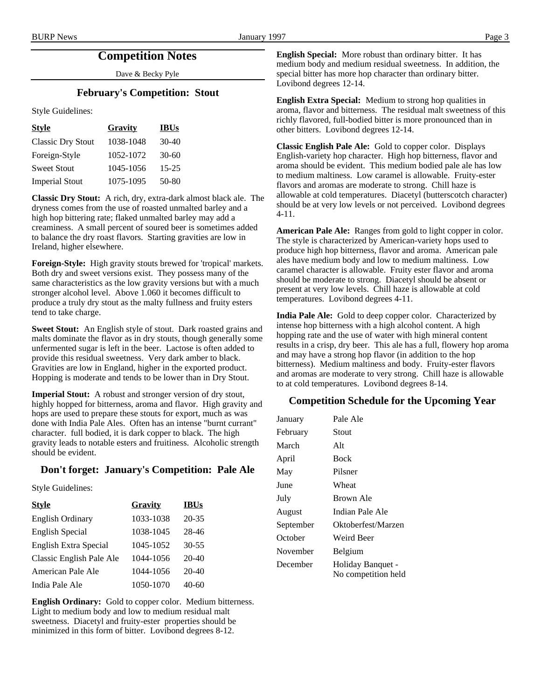# **Competition Notes**

Dave & Becky Pyle

### **February's Competition: Stout**

Style Guidelines:

| <b>Style</b>             | Gravity   | <b>IBUs</b> |
|--------------------------|-----------|-------------|
| <b>Classic Dry Stout</b> | 1038-1048 | $30-40$     |
| Foreign-Style            | 1052-1072 | $30-60$     |
| <b>Sweet Stout</b>       | 1045-1056 | $15 - 25$   |
| <b>Imperial Stout</b>    | 1075-1095 | 50-80       |

**Classic Dry Stout:** A rich, dry, extra-dark almost black ale. The dryness comes from the use of roasted unmalted barley and a high hop bittering rate; flaked unmalted barley may add a creaminess. A small percent of soured beer is sometimes added to balance the dry roast flavors. Starting gravities are low in Ireland, higher elsewhere.

**Foreign-Style:** High gravity stouts brewed for 'tropical' markets. Both dry and sweet versions exist. They possess many of the same characteristics as the low gravity versions but with a much stronger alcohol level. Above 1.060 it becomes difficult to produce a truly dry stout as the malty fullness and fruity esters tend to take charge.

**Sweet Stout:** An English style of stout. Dark roasted grains and malts dominate the flavor as in dry stouts, though generally some unfermented sugar is left in the beer. Lactose is often added to provide this residual sweetness. Very dark amber to black. Gravities are low in England, higher in the exported product. Hopping is moderate and tends to be lower than in Dry Stout.

**Imperial Stout:** A robust and stronger version of dry stout, highly hopped for bitterness, aroma and flavor. High gravity and hops are used to prepare these stouts for export, much as was done with India Pale Ales. Often has an intense "burnt currant" character. full bodied, it is dark copper to black. The high gravity leads to notable esters and fruitiness. Alcoholic strength should be evident.

### **Don't forget: January's Competition: Pale Ale**

Style Guidelines:

| <b>Style</b>             | Gravity   | <b>IBUs</b> |
|--------------------------|-----------|-------------|
| <b>English Ordinary</b>  | 1033-1038 | 20-35       |
| <b>English Special</b>   | 1038-1045 | 28-46       |
| English Extra Special    | 1045-1052 | $30 - 55$   |
| Classic English Pale Ale | 1044-1056 | 20-40       |
| American Pale Ale        | 1044-1056 | $20 - 40$   |
| India Pale Ale           | 1050-1070 | 40-60       |

**English Ordinary:** Gold to copper color. Medium bitterness. Light to medium body and low to medium residual malt sweetness. Diacetyl and fruity-ester properties should be minimized in this form of bitter. Lovibond degrees 8-12.

**English Special:** More robust than ordinary bitter. It has medium body and medium residual sweetness. In addition, the special bitter has more hop character than ordinary bitter. Lovibond degrees 12-14.

**English Extra Special:** Medium to strong hop qualities in aroma, flavor and bitterness. The residual malt sweetness of this richly flavored, full-bodied bitter is more pronounced than in other bitters. Lovibond degrees 12-14.

**Classic English Pale Ale:** Gold to copper color. Displays English-variety hop character. High hop bitterness, flavor and aroma should be evident. This medium bodied pale ale has low to medium maltiness. Low caramel is allowable. Fruity-ester flavors and aromas are moderate to strong. Chill haze is allowable at cold temperatures. Diacetyl (butterscotch character) should be at very low levels or not perceived. Lovibond degrees 4-11.

**American Pale Ale:** Ranges from gold to light copper in color. The style is characterized by American-variety hops used to produce high hop bitterness, flavor and aroma. American pale ales have medium body and low to medium maltiness. Low caramel character is allowable. Fruity ester flavor and aroma should be moderate to strong. Diacetyl should be absent or present at very low levels. Chill haze is allowable at cold temperatures. Lovibond degrees 4-11.

**India Pale Ale:** Gold to deep copper color. Characterized by intense hop bitterness with a high alcohol content. A high hopping rate and the use of water with high mineral content results in a crisp, dry beer. This ale has a full, flowery hop aroma and may have a strong hop flavor (in addition to the hop bitterness). Medium maltiness and body. Fruity-ester flavors and aromas are moderate to very strong. Chill haze is allowable to at cold temperatures. Lovibond degrees 8-14.

### **Competition Schedule for the Upcoming Year**

| Pale Ale                                 |
|------------------------------------------|
| Stout                                    |
| Alt                                      |
| <b>Bock</b>                              |
| Pilsner                                  |
| Wheat                                    |
| Brown Ale                                |
| Indian Pale Ale                          |
| Oktoberfest/Marzen                       |
| Weird Beer                               |
| Belgium                                  |
| Holiday Banquet -<br>No competition held |
|                                          |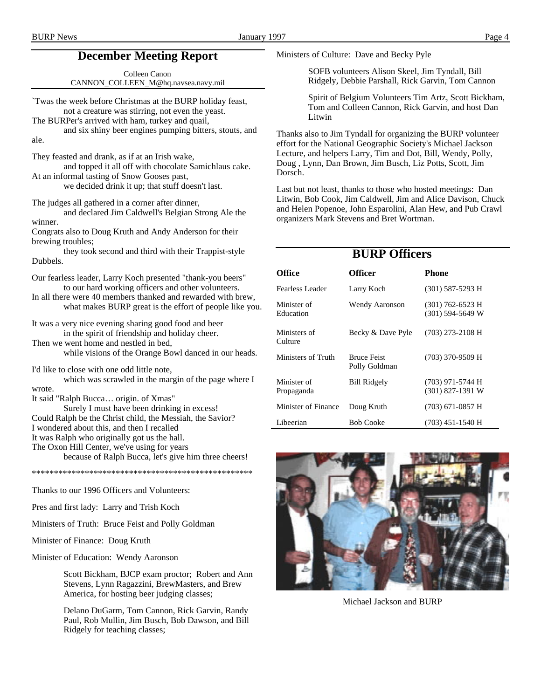# **December Meeting Report**

Colleen Canon CANNON\_COLLEEN\_M@hq.navsea.navy.mil

`Twas the week before Christmas at the BURP holiday feast, not a creature was stirring, not even the yeast.

The BURPer's arrived with ham, turkey and quail,

and six shiny beer engines pumping bitters, stouts, and ale.

They feasted and drank, as if at an Irish wake,

and topped it all off with chocolate Samichlaus cake. At an informal tasting of Snow Gooses past,

we decided drink it up; that stuff doesn't last.

The judges all gathered in a corner after dinner,

and declared Jim Caldwell's Belgian Strong Ale the winner.

Congrats also to Doug Kruth and Andy Anderson for their brewing troubles;

they took second and third with their Trappist-style Dubbels.

Our fearless leader, Larry Koch presented "thank-you beers" to our hard working officers and other volunteers.

In all there were 40 members thanked and rewarded with brew, what makes BURP great is the effort of people like you.

It was a very nice evening sharing good food and beer in the spirit of friendship and holiday cheer.

Then we went home and nestled in bed,

while visions of the Orange Bowl danced in our heads.

I'd like to close with one odd little note,

which was scrawled in the margin of the page where I wrote.

It said "Ralph Bucca… origin. of Xmas"

Surely I must have been drinking in excess! Could Ralph be the Christ child, the Messiah, the Savior? I wondered about this, and then I recalled It was Ralph who originally got us the hall. The Oxon Hill Center, we've using for years because of Ralph Bucca, let's give him three cheers!

\*\*\*\*\*\*\*\*\*\*\*\*\*\*\*\*\*\*\*\*\*\*\*\*\*\*\*\*\*\*\*\*\*\*\*\*\*\*\*\*\*\*\*\*\*\*\*\*\*\*

Thanks to our 1996 Officers and Volunteers:

Pres and first lady: Larry and Trish Koch

Ministers of Truth: Bruce Feist and Polly Goldman

Minister of Finance: Doug Kruth

Minister of Education: Wendy Aaronson

Scott Bickham, BJCP exam proctor; Robert and Ann Stevens, Lynn Ragazzini, BrewMasters, and Brew America, for hosting beer judging classes;

Delano DuGarm, Tom Cannon, Rick Garvin, Randy Paul, Rob Mullin, Jim Busch, Bob Dawson, and Bill Ridgely for teaching classes;

Ministers of Culture: Dave and Becky Pyle

SOFB volunteers Alison Skeel, Jim Tyndall, Bill Ridgely, Debbie Parshall, Rick Garvin, Tom Cannon

Spirit of Belgium Volunteers Tim Artz, Scott Bickham, Tom and Colleen Cannon, Rick Garvin, and host Dan Litwin

Thanks also to Jim Tyndall for organizing the BURP volunteer effort for the National Geographic Society's Michael Jackson Lecture, and helpers Larry, Tim and Dot, Bill, Wendy, Polly, Doug , Lynn, Dan Brown, Jim Busch, Liz Potts, Scott, Jim Dorsch.

Last but not least, thanks to those who hosted meetings: Dan Litwin, Bob Cook, Jim Caldwell, Jim and Alice Davison, Chuck and Helen Popenoe, John Esparolini, Alan Hew, and Pub Crawl organizers Mark Stevens and Bret Wortman.

### **BURP Officers**

| <b>Office</b>             | Officer                             | Phone                                    |
|---------------------------|-------------------------------------|------------------------------------------|
| Fearless Leader           | Larry Koch                          | $(301)$ 587-5293 H                       |
| Minister of<br>Education  | <b>Wendy Aaronson</b>               | $(301)$ 762-6523 H<br>$(301)$ 594-5649 W |
| Ministers of<br>Culture   | Becky & Dave Pyle                   | (703) 273-2108 H                         |
| Ministers of Truth        | <b>Bruce Feist</b><br>Polly Goldman | (703) 370-9509 H                         |
| Minister of<br>Propaganda | <b>Bill Ridgely</b>                 | (703) 971-5744 H<br>$(301)$ 827-1391 W   |
| Minister of Finance       | Doug Kruth                          | (703) 671-0857 H                         |
| Libeerian                 | <b>Bob Cooke</b>                    | (703) 451-1540 H                         |



Michael Jackson and BURP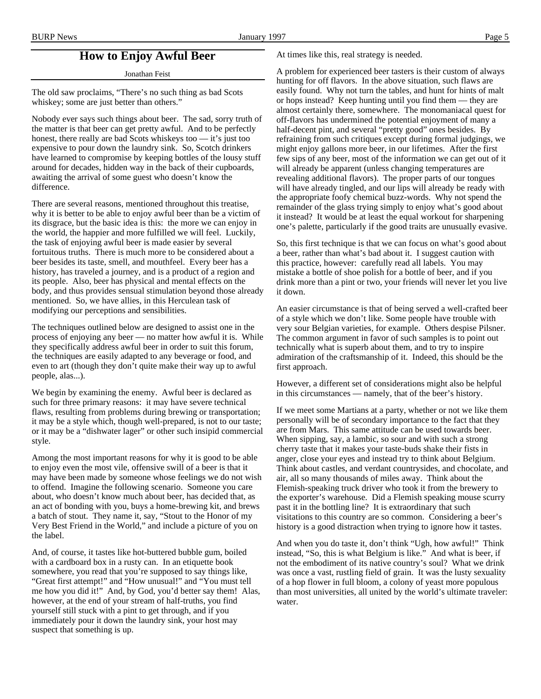### **How to Enjoy Awful Beer**

Jonathan Feist

The old saw proclaims, "There's no such thing as bad Scots whiskey; some are just better than others."

Nobody ever says such things about beer. The sad, sorry truth of the matter is that beer can get pretty awful. And to be perfectly honest, there really are bad Scots whiskeys too — it's just too expensive to pour down the laundry sink. So, Scotch drinkers have learned to compromise by keeping bottles of the lousy stuff around for decades, hidden way in the back of their cupboards, awaiting the arrival of some guest who doesn't know the difference.

There are several reasons, mentioned throughout this treatise, why it is better to be able to enjoy awful beer than be a victim of its disgrace, but the basic idea is this: the more we can enjoy in the world, the happier and more fulfilled we will feel. Luckily, the task of enjoying awful beer is made easier by several fortuitous truths. There is much more to be considered about a beer besides its taste, smell, and mouthfeel. Every beer has a history, has traveled a journey, and is a product of a region and its people. Also, beer has physical and mental effects on the body, and thus provides sensual stimulation beyond those already mentioned. So, we have allies, in this Herculean task of modifying our perceptions and sensibilities.

The techniques outlined below are designed to assist one in the process of enjoying any beer — no matter how awful it is. While they specifically address awful beer in order to suit this forum, the techniques are easily adapted to any beverage or food, and even to art (though they don't quite make their way up to awful people, alas...).

We begin by examining the enemy. Awful beer is declared as such for three primary reasons: it may have severe technical flaws, resulting from problems during brewing or transportation; it may be a style which, though well-prepared, is not to our taste; or it may be a "dishwater lager" or other such insipid commercial style.

Among the most important reasons for why it is good to be able to enjoy even the most vile, offensive swill of a beer is that it may have been made by someone whose feelings we do not wish to offend. Imagine the following scenario. Someone you care about, who doesn't know much about beer, has decided that, as an act of bonding with you, buys a home-brewing kit, and brews a batch of stout. They name it, say, "Stout to the Honor of my Very Best Friend in the World," and include a picture of you on the label.

And, of course, it tastes like hot-buttered bubble gum, boiled with a cardboard box in a rusty can. In an etiquette book somewhere, you read that you're supposed to say things like, "Great first attempt!" and "How unusual!" and "You must tell me how you did it!" And, by God, you'd better say them! Alas, however, at the end of your stream of half-truths, you find yourself still stuck with a pint to get through, and if you immediately pour it down the laundry sink, your host may suspect that something is up.

At times like this, real strategy is needed.

A problem for experienced beer tasters is their custom of always hunting for off flavors. In the above situation, such flaws are easily found. Why not turn the tables, and hunt for hints of malt or hops instead? Keep hunting until you find them — they are almost certainly there, somewhere. The monomaniacal quest for off-flavors has undermined the potential enjoyment of many a half-decent pint, and several "pretty good" ones besides. By refraining from such critiques except during formal judgings, we might enjoy gallons more beer, in our lifetimes. After the first few sips of any beer, most of the information we can get out of it will already be apparent (unless changing temperatures are revealing additional flavors). The proper parts of our tongues will have already tingled, and our lips will already be ready with the appropriate foofy chemical buzz-words. Why not spend the remainder of the glass trying simply to enjoy what's good about it instead? It would be at least the equal workout for sharpening one's palette, particularly if the good traits are unusually evasive.

So, this first technique is that we can focus on what's good about a beer, rather than what's bad about it. I suggest caution with this practice, however: carefully read all labels. You may mistake a bottle of shoe polish for a bottle of beer, and if you drink more than a pint or two, your friends will never let you live it down.

An easier circumstance is that of being served a well-crafted beer of a style which we don't like. Some people have trouble with very sour Belgian varieties, for example. Others despise Pilsner. The common argument in favor of such samples is to point out technically what is superb about them, and to try to inspire admiration of the craftsmanship of it. Indeed, this should be the first approach.

However, a different set of considerations might also be helpful in this circumstances — namely, that of the beer's history.

If we meet some Martians at a party, whether or not we like them personally will be of secondary importance to the fact that they are from Mars. This same attitude can be used towards beer. When sipping, say, a lambic, so sour and with such a strong cherry taste that it makes your taste-buds shake their fists in anger, close your eyes and instead try to think about Belgium. Think about castles, and verdant countrysides, and chocolate, and air, all so many thousands of miles away. Think about the Flemish-speaking truck driver who took it from the brewery to the exporter's warehouse. Did a Flemish speaking mouse scurry past it in the bottling line? It is extraordinary that such visitations to this country are so common. Considering a beer's history is a good distraction when trying to ignore how it tastes.

And when you do taste it, don't think "Ugh, how awful!" Think instead, "So, this is what Belgium is like." And what is beer, if not the embodiment of its native country's soul? What we drink was once a vast, rustling field of grain. It was the lusty sexuality of a hop flower in full bloom, a colony of yeast more populous than most universities, all united by the world's ultimate traveler: water.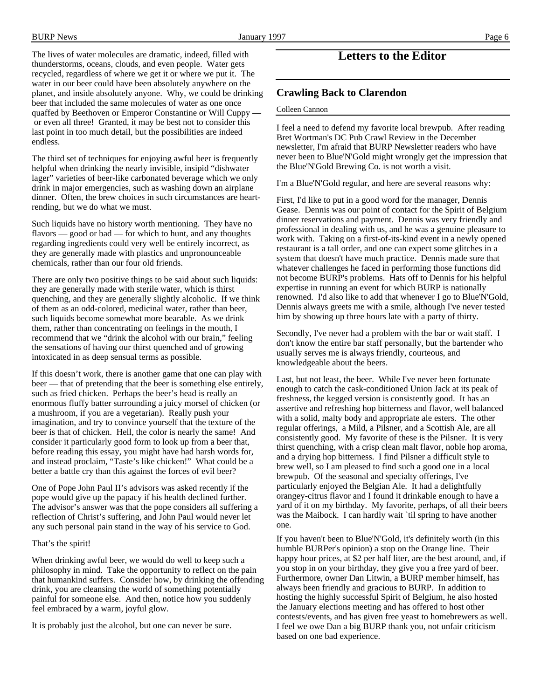The lives of water molecules are dramatic, indeed, filled with thunderstorms, oceans, clouds, and even people. Water gets recycled, regardless of where we get it or where we put it. The water in our beer could have been absolutely anywhere on the planet, and inside absolutely anyone. Why, we could be drinking beer that included the same molecules of water as one once quaffed by Beethoven or Emperor Constantine or Will Cuppy or even all three! Granted, it may be best not to consider this last point in too much detail, but the possibilities are indeed endless.

The third set of techniques for enjoying awful beer is frequently helpful when drinking the nearly invisible, insipid "dishwater lager" varieties of beer-like carbonated beverage which we only drink in major emergencies, such as washing down an airplane dinner. Often, the brew choices in such circumstances are heartrending, but we do what we must.

Such liquids have no history worth mentioning. They have no flavors — good or bad — for which to hunt, and any thoughts regarding ingredients could very well be entirely incorrect, as they are generally made with plastics and unpronounceable chemicals, rather than our four old friends.

There are only two positive things to be said about such liquids: they are generally made with sterile water, which is thirst quenching, and they are generally slightly alcoholic. If we think of them as an odd-colored, medicinal water, rather than beer, such liquids become somewhat more bearable. As we drink them, rather than concentrating on feelings in the mouth, I recommend that we "drink the alcohol with our brain," feeling the sensations of having our thirst quenched and of growing intoxicated in as deep sensual terms as possible.

If this doesn't work, there is another game that one can play with beer — that of pretending that the beer is something else entirely, such as fried chicken. Perhaps the beer's head is really an enormous fluffy batter surrounding a juicy morsel of chicken (or a mushroom, if you are a vegetarian). Really push your imagination, and try to convince yourself that the texture of the beer is that of chicken. Hell, the color is nearly the same! And consider it particularly good form to look up from a beer that, before reading this essay, you might have had harsh words for, and instead proclaim, "Taste's like chicken!" What could be a better a battle cry than this against the forces of evil beer?

One of Pope John Paul II's advisors was asked recently if the pope would give up the papacy if his health declined further. The advisor's answer was that the pope considers all suffering a reflection of Christ's suffering, and John Paul would never let any such personal pain stand in the way of his service to God.

#### That's the spirit!

When drinking awful beer, we would do well to keep such a philosophy in mind. Take the opportunity to reflect on the pain that humankind suffers. Consider how, by drinking the offending drink, you are cleansing the world of something potentially painful for someone else. And then, notice how you suddenly feel embraced by a warm, joyful glow.

It is probably just the alcohol, but one can never be sure.

## **Letters to the Editor**

### **Crawling Back to Clarendon**

#### Colleen Cannon

I feel a need to defend my favorite local brewpub. After reading Bret Wortman's DC Pub Crawl Review in the December newsletter, I'm afraid that BURP Newsletter readers who have never been to Blue'N'Gold might wrongly get the impression that the Blue'N'Gold Brewing Co. is not worth a visit.

I'm a Blue'N'Gold regular, and here are several reasons why:

First, I'd like to put in a good word for the manager, Dennis Gease. Dennis was our point of contact for the Spirit of Belgium dinner reservations and payment. Dennis was very friendly and professional in dealing with us, and he was a genuine pleasure to work with. Taking on a first-of-its-kind event in a newly opened restaurant is a tall order, and one can expect some glitches in a system that doesn't have much practice. Dennis made sure that whatever challenges he faced in performing those functions did not become BURP's problems. Hats off to Dennis for his helpful expertise in running an event for which BURP is nationally renowned. I'd also like to add that whenever I go to Blue'N'Gold, Dennis always greets me with a smile, although I've never tested him by showing up three hours late with a party of thirty.

Secondly, I've never had a problem with the bar or wait staff. I don't know the entire bar staff personally, but the bartender who usually serves me is always friendly, courteous, and knowledgeable about the beers.

Last, but not least, the beer. While I've never been fortunate enough to catch the cask-conditioned Union Jack at its peak of freshness, the kegged version is consistently good. It has an assertive and refreshing hop bitterness and flavor, well balanced with a solid, malty body and appropriate ale esters. The other regular offerings, a Mild, a Pilsner, and a Scottish Ale, are all consistently good. My favorite of these is the Pilsner. It is very thirst quenching, with a crisp clean malt flavor, noble hop aroma, and a drying hop bitterness. I find Pilsner a difficult style to brew well, so I am pleased to find such a good one in a local brewpub. Of the seasonal and specialty offerings, I've particularly enjoyed the Belgian Ale. It had a delightfully orangey-citrus flavor and I found it drinkable enough to have a yard of it on my birthday. My favorite, perhaps, of all their beers was the Maibock. I can hardly wait `til spring to have another one.

If you haven't been to Blue'N'Gold, it's definitely worth (in this humble BURPer's opinion) a stop on the Orange line. Their happy hour prices, at \$2 per half liter, are the best around, and, if you stop in on your birthday, they give you a free yard of beer. Furthermore, owner Dan Litwin, a BURP member himself, has always been friendly and gracious to BURP. In addition to hosting the highly successful Spirit of Belgium, he also hosted the January elections meeting and has offered to host other contests/events, and has given free yeast to homebrewers as well. I feel we owe Dan a big BURP thank you, not unfair criticism based on one bad experience.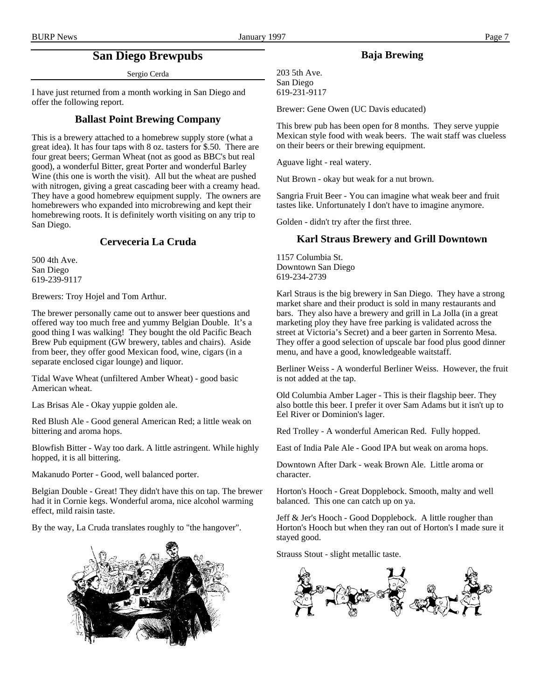# **San Diego Brewpubs**

Sergio Cerda

I have just returned from a month working in San Diego and offer the following report.

### **Ballast Point Brewing Company**

This is a brewery attached to a homebrew supply store (what a great idea). It has four taps with 8 oz. tasters for \$.50. There are four great beers; German Wheat (not as good as BBC's but real good), a wonderful Bitter, great Porter and wonderful Barley Wine (this one is worth the visit). All but the wheat are pushed with nitrogen, giving a great cascading beer with a creamy head. They have a good homebrew equipment supply. The owners are homebrewers who expanded into microbrewing and kept their homebrewing roots. It is definitely worth visiting on any trip to San Diego.

### **Cerveceria La Cruda**

500 4th Ave. San Diego 619-239-9117

Brewers: Troy Hojel and Tom Arthur.

The brewer personally came out to answer beer questions and offered way too much free and yummy Belgian Double. It's a good thing I was walking! They bought the old Pacific Beach Brew Pub equipment (GW brewery, tables and chairs). Aside from beer, they offer good Mexican food, wine, cigars (in a separate enclosed cigar lounge) and liquor.

Tidal Wave Wheat (unfiltered Amber Wheat) - good basic American wheat.

Las Brisas Ale - Okay yuppie golden ale.

Red Blush Ale - Good general American Red; a little weak on bittering and aroma hops.

Blowfish Bitter - Way too dark. A little astringent. While highly hopped, it is all bittering.

Makanudo Porter - Good, well balanced porter.

Belgian Double - Great! They didn't have this on tap. The brewer had it in Cornie kegs. Wonderful aroma, nice alcohol warming effect, mild raisin taste.

By the way, La Cruda translates roughly to "the hangover".



### **Baja Brewing**

203 5th Ave. San Diego 619-231-9117

Brewer: Gene Owen (UC Davis educated)

This brew pub has been open for 8 months. They serve yuppie Mexican style food with weak beers. The wait staff was clueless on their beers or their brewing equipment.

Aguave light - real watery.

Nut Brown - okay but weak for a nut brown.

Sangria Fruit Beer - You can imagine what weak beer and fruit tastes like. Unfortunately I don't have to imagine anymore.

Golden - didn't try after the first three.

### **Karl Straus Brewery and Grill Downtown**

1157 Columbia St. Downtown San Diego 619-234-2739

Karl Straus is the big brewery in San Diego. They have a strong market share and their product is sold in many restaurants and bars. They also have a brewery and grill in La Jolla (in a great marketing ploy they have free parking is validated across the street at Victoria's Secret) and a beer garten in Sorrento Mesa. They offer a good selection of upscale bar food plus good dinner menu, and have a good, knowledgeable waitstaff.

Berliner Weiss - A wonderful Berliner Weiss. However, the fruit is not added at the tap.

Old Columbia Amber Lager - This is their flagship beer. They also bottle this beer. I prefer it over Sam Adams but it isn't up to Eel River or Dominion's lager.

Red Trolley - A wonderful American Red. Fully hopped.

East of India Pale Ale - Good IPA but weak on aroma hops.

Downtown After Dark - weak Brown Ale. Little aroma or character.

Horton's Hooch - Great Dopplebock. Smooth, malty and well balanced. This one can catch up on ya.

Jeff & Jer's Hooch - Good Dopplebock. A little rougher than Horton's Hooch but when they ran out of Horton's I made sure it stayed good.

Strauss Stout - slight metallic taste.

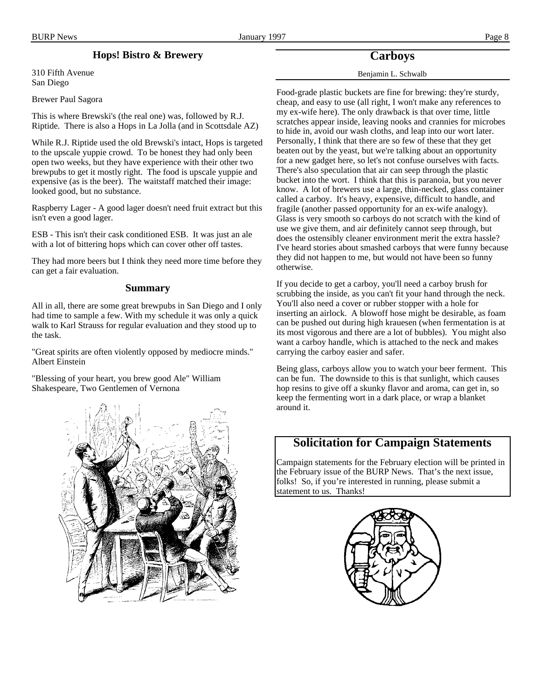### **Hops! Bistro & Brewery**

310 Fifth Avenue San Diego

Brewer Paul Sagora

This is where Brewski's (the real one) was, followed by R.J. Riptide. There is also a Hops in La Jolla (and in Scottsdale AZ)

While R.J. Riptide used the old Brewski's intact, Hops is targeted to the upscale yuppie crowd. To be honest they had only been open two weeks, but they have experience with their other two brewpubs to get it mostly right. The food is upscale yuppie and expensive (as is the beer). The waitstaff matched their image: looked good, but no substance.

Raspberry Lager - A good lager doesn't need fruit extract but this isn't even a good lager.

ESB - This isn't their cask conditioned ESB. It was just an ale with a lot of bittering hops which can cover other off tastes.

They had more beers but I think they need more time before they can get a fair evaluation.

#### **Summary**

All in all, there are some great brewpubs in San Diego and I only had time to sample a few. With my schedule it was only a quick walk to Karl Strauss for regular evaluation and they stood up to the task.

"Great spirits are often violently opposed by mediocre minds." Albert Einstein

"Blessing of your heart, you brew good Ale" William Shakespeare, Two Gentlemen of Vernona



### **Carboys**

#### Benjamin L. Schwalb

Food-grade plastic buckets are fine for brewing: they're sturdy, cheap, and easy to use (all right, I won't make any references to my ex-wife here). The only drawback is that over time, little scratches appear inside, leaving nooks and crannies for microbes to hide in, avoid our wash cloths, and leap into our wort later. Personally, I think that there are so few of these that they get beaten out by the yeast, but we're talking about an opportunity for a new gadget here, so let's not confuse ourselves with facts. There's also speculation that air can seep through the plastic bucket into the wort. I think that this is paranoia, but you never know. A lot of brewers use a large, thin-necked, glass container called a carboy. It's heavy, expensive, difficult to handle, and fragile (another passed opportunity for an ex-wife analogy). Glass is very smooth so carboys do not scratch with the kind of use we give them, and air definitely cannot seep through, but does the ostensibly cleaner environment merit the extra hassle? I've heard stories about smashed carboys that were funny because they did not happen to me, but would not have been so funny otherwise.

If you decide to get a carboy, you'll need a carboy brush for scrubbing the inside, as you can't fit your hand through the neck. You'll also need a cover or rubber stopper with a hole for inserting an airlock. A blowoff hose might be desirable, as foam can be pushed out during high krauesen (when fermentation is at its most vigorous and there are a lot of bubbles). You might also want a carboy handle, which is attached to the neck and makes carrying the carboy easier and safer.

Being glass, carboys allow you to watch your beer ferment. This can be fun. The downside to this is that sunlight, which causes hop resins to give off a skunky flavor and aroma, can get in, so keep the fermenting wort in a dark place, or wrap a blanket around it.

## **Solicitation for Campaign Statements**

Campaign statements for the February election will be printed in the February issue of the BURP News. That's the next issue, folks! So, if you're interested in running, please submit a statement to us. Thanks!